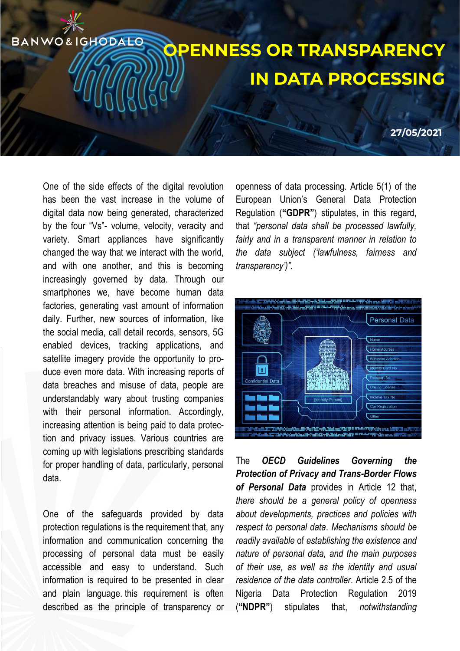## **OPENNESS OR TRANSPARENCY IN DATA PROCESSING**

**27/05/2021**

One of the side effects of the digital revolution has been the vast increase in the volume of digital data now being generated, characterized by the four "Vs"- volume, velocity, veracity and variety. Smart appliances have significantly changed the way that we interact with the world, and with one another, and this is becoming increasingly governed by data. Through our smartphones we, have become human data factories, generating vast amount of information daily. Further, new sources of information, like the social media, call detail records, sensors, 5G enabled devices, tracking applications, and satellite imagery provide the opportunity to produce even more data. With increasing reports of data breaches and misuse of data, people are understandably wary about trusting companies with their personal information. Accordingly, increasing attention is being paid to data protection and privacy issues. Various countries are coming up with legislations prescribing standards for proper handling of data, particularly, personal data.

BANWO&IGHODALO

One of the safeguards provided by data protection regulations is the requirement that, any information and communication concerning the processing of personal data must be easily accessible and easy to understand. Such information is required to be presented in clear and plain language. this requirement is often described as the principle of transparency or

openness of data processing. Article 5(1) of the European Union's General Data Protection Regulation (**"GDPR"**) stipulates, in this regard, that *"personal data shall be processed lawfully, fairly and in a transparent manner in relation to the data subject ('lawfulness, fairness and transparency')".*



The *OECD Guidelines Governing the Protection of Privacy and Trans-Border Flows of Personal Data* provides in Article 12 that, *there should be a general policy of openness about developments, practices and policies with respect to personal data*. *Mechanisms should be readily available* of *establishing the existence and nature of personal data, and the main purposes of their use, as well as the identity and usual residence of the data controller*. Article 2.5 of the Nigeria Data Protection Regulation 2019 (**"NDPR"**) stipulates that, *notwithstanding*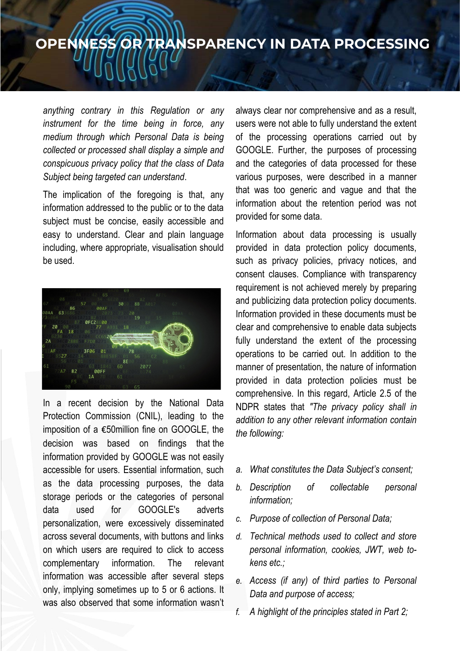## **OPENNESS OR TRANSPARENCY IN DATA PROCESSING**

*anything contrary in this Regulation or any instrument for the time being in force, any medium through which Personal Data is being collected or processed shall display a simple and conspicuous privacy policy that the class of Data Subject being targeted can understand*.

The implication of the foregoing is that, any information addressed to the public or to the data subject must be concise, easily accessible and easy to understand. Clear and plain language including, where appropriate, visualisation should be used.



In a recent decision by the National Data Protection Commission (CNIL), leading to the imposition of a €50million fine on GOOGLE, the decision was based on findings that the information provided by GOOGLE was not easily accessible for users. Essential information, such as the data processing purposes, the data storage periods or the categories of personal data used for GOOGLE's adverts personalization, were excessively disseminated across several documents, with buttons and links on which users are required to click to access complementary information. The relevant information was accessible after several steps only, implying sometimes up to 5 or 6 actions. It was also observed that some information wasn't

always clear nor comprehensive and as a result, users were not able to fully understand the extent of the processing operations carried out by GOOGLE. Further, the purposes of processing and the categories of data processed for these various purposes, were described in a manner that was too generic and vague and that the information about the retention period was not provided for some data.

Information about data processing is usually provided in data protection policy documents, such as privacy policies, privacy notices, and consent clauses. Compliance with transparency requirement is not achieved merely by preparing and publicizing data protection policy documents. Information provided in these documents must be clear and comprehensive to enable data subjects fully understand the extent of the processing operations to be carried out. In addition to the manner of presentation, the nature of information provided in data protection policies must be comprehensive. In this regard, Article 2.5 of the NDPR states that *"The privacy policy shall in addition to any other relevant information contain the following:*

- *a. What constitutes the Data Subject's consent;*
- *b. Description of collectable personal information;*
- *c. Purpose of collection of Personal Data;*
- *d. Technical methods used to collect and store personal information, cookies, JWT, web tokens etc.;*
- *e. Access (if any) of third parties to Personal Data and purpose of access;*
- *f. A highlight of the principles stated in Part 2;*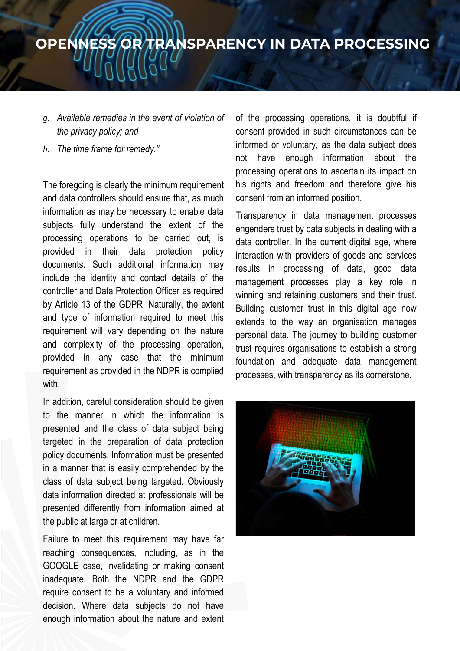## **OPENNESS OR TRANSPARENCY IN DATA PROCESSING**

- *g. Available remedies in the event of violation of the privacy policy; and*
- *h. The time frame for remedy."*

The foregoing is clearly the minimum requirement and data controllers should ensure that, as much information as may be necessary to enable data subjects fully understand the extent of the processing operations to be carried out, is provided in their data protection policy documents. Such additional information may include the identity and contact details of the controller and Data Protection Officer as required by Article 13 of the GDPR. Naturally, the extent and type of information required to meet this requirement will vary depending on the nature and complexity of the processing operation, provided in any case that the minimum requirement as provided in the NDPR is complied with.

In addition, careful consideration should be given to the manner in which the information is presented and the class of data subject being targeted in the preparation of data protection policy documents. Information must be presented in a manner that is easily comprehended by the class of data subject being targeted. Obviously data information directed at professionals will be presented differently from information aimed at the public at large or at children.

Failure to meet this requirement may have far reaching consequences, including, as in the GOOGLE case, invalidating or making consent inadequate. Both the NDPR and the GDPR require consent to be a voluntary and informed decision. Where data subjects do not have enough information about the nature and extent

of the processing operations, it is doubtful if consent provided in such circumstances can be informed or voluntary, as the data subject does not have enough information about the processing operations to ascertain its impact on his rights and freedom and therefore give his consent from an informed position.

Transparency in data management processes engenders trust by data subjects in dealing with a data controller. In the current digital age, where interaction with providers of goods and services results in processing of data, good data management processes play a key role in winning and retaining customers and their trust. Building customer trust in this digital age now extends to the way an organisation manages personal data. The journey to building customer trust requires organisations to establish a strong foundation and adequate data management processes, with transparency as its cornerstone.